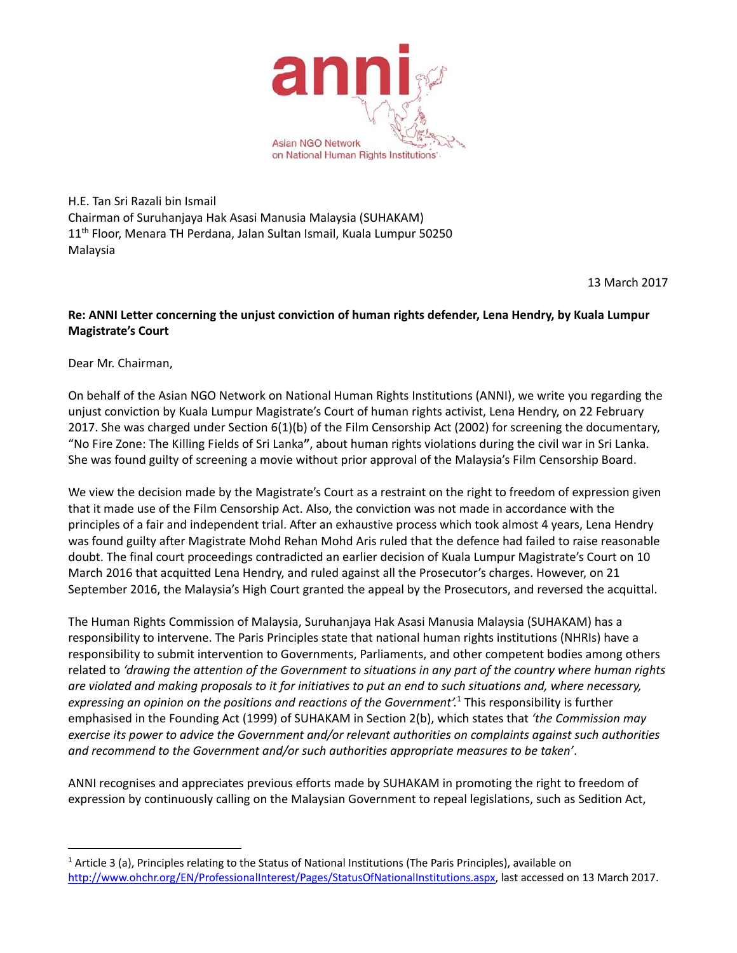

H.E. Tan Sri Razali bin Ismail Chairman of Suruhanjaya Hak Asasi Manusia Malaysia (SUHAKAM) 11<sup>th</sup> Floor, Menara TH Perdana, Jalan Sultan Ismail, Kuala Lumpur 50250 Malaysia

13 March 2017

## **Re: ANNI Letter concerning the unjust conviction of human rights defender, Lena Hendry, by Kuala Lumpur Magistrate's Court**

Dear Mr. Chairman,

 $\overline{a}$ 

On behalf of the Asian NGO Network on National Human Rights Institutions (ANNI), we write you regarding the unjust conviction by Kuala Lumpur Magistrate's Court of human rights activist, Lena Hendry, on 22 February 2017. She was charged under Section 6(1)(b) of the Film Censorship Act (2002) for screening the documentary, "No Fire Zone: The Killing Fields of Sri Lanka**"**, about human rights violations during the civil war in Sri Lanka. She was found guilty of screening a movie without prior approval of the Malaysia's Film Censorship Board.

We view the decision made by the Magistrate's Court as a restraint on the right to freedom of expression given that it made use of the Film Censorship Act. Also, the conviction was not made in accordance with the principles of a fair and independent trial. After an exhaustive process which took almost 4 years, Lena Hendry was found guilty after Magistrate Mohd Rehan Mohd Aris ruled that the defence had failed to raise reasonable doubt. The final court proceedings contradicted an earlier decision of Kuala Lumpur Magistrate's Court on 10 March 2016 that acquitted Lena Hendry, and ruled against all the Prosecutor's charges. However, on 21 September 2016, the Malaysia's High Court granted the appeal by the Prosecutors, and reversed the acquittal.

The Human Rights Commission of Malaysia, Suruhanjaya Hak Asasi Manusia Malaysia (SUHAKAM) has a responsibility to intervene. The Paris Principles state that national human rights institutions (NHRIs) have a responsibility to submit intervention to Governments, Parliaments, and other competent bodies among others related to *'drawing the attention of the Government to situations in any part of the country where human rights are violated and making proposals to it for initiatives to put an end to such situations and, where necessary, expressing an opinion on the positions and reactions of the Government'.*<sup>1</sup> This responsibility is further emphasised in the Founding Act (1999) of SUHAKAM in Section 2(b), which states that *'the Commission may exercise its power to advice the Government and/or relevant authorities on complaints against such authorities and recommend to the Government and/or such authorities appropriate measures to be taken'*.

ANNI recognises and appreciates previous efforts made by SUHAKAM in promoting the right to freedom of expression by continuously calling on the Malaysian Government to repeal legislations, such as Sedition Act,

<sup>&</sup>lt;sup>1</sup> Article 3 (a), Principles relating to the Status of National Institutions (The Paris Principles), available on http://www.ohchr.org/EN/ProfessionalInterest/Pages/StatusOfNationalInstitutions.aspx, last accessed on 13 March 2017.